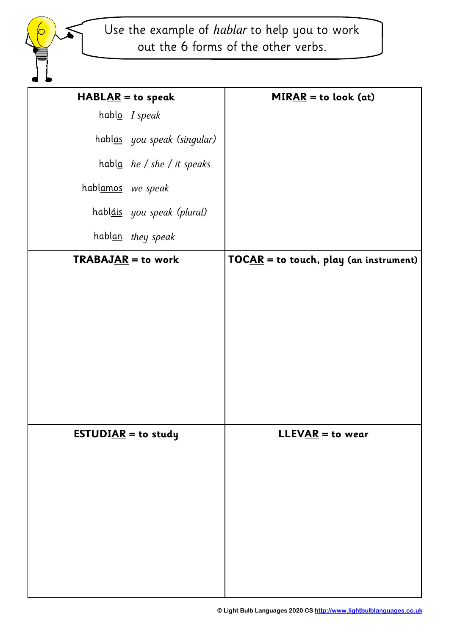Use the example of *hablar* to help you to work out the 6 forms of the other verbs.

| $HABLAR = to speak$         | $MIRAR =$ to look (at)                 |
|-----------------------------|----------------------------------------|
| hablo I speak               |                                        |
| hablas you speak (singular) |                                        |
| habla he / she / it speaks  |                                        |
| hablamos we speak           |                                        |
| habláis you speak (plural)  |                                        |
| hablan they speak           |                                        |
| <b>TRABAJAR</b> = to work   | TOCAR = to touch, play (an instrument) |
|                             |                                        |
|                             |                                        |
|                             |                                        |
|                             |                                        |
|                             |                                        |
|                             |                                        |
| <b>ESTUDIAR</b> = to study  | $LLEVAR =$ to wear                     |
|                             |                                        |
|                             |                                        |
|                             |                                        |
|                             |                                        |
|                             |                                        |
|                             |                                        |
|                             |                                        |